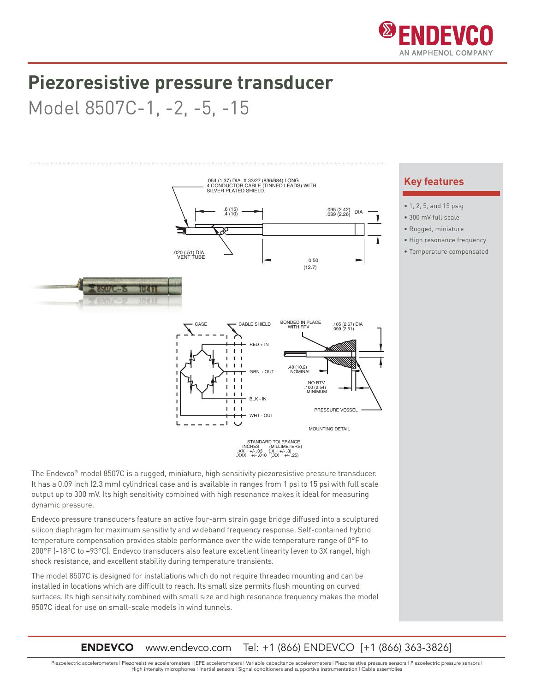

## **Piezoresistive pressure transducer**

## Model 8507C-1, -2, -5, -15



The Endevco® model 8507C is a rugged, miniature, high sensitivity piezoresistive pressure transducer. It has a 0.09 inch (2.3 mm) cylindrical case and is available in ranges from 1 psi to 15 psi with full scale output up to 300 mV. Its high sensitivity combined with high resonance makes it ideal for measuring dynamic pressure.

Endevco pressure transducers feature an active four-arm strain gage bridge diffused into a sculptured  $\frac{1}{\sqrt{2}}$  silicon diaphragm for maximum sensitivity and wideband frequency response. Self-contained hybrid temperature compensation provides stable performance over the wide temperature range of 0°F to 200°F (-18°C to +93°C). Endevco transducers also feature excellent linearity (even to 3X range), high shock resistance, and excellent stability during temperature transients.

The model 8507C is designed for installations which do not require threaded mounting and can be installed in locations which are difficult to reach. Its small size permits flush mounting on curved surfaces. Its high sensitivity combined with small size and high resonance frequency makes the model 8507C ideal for use on small-scale models in wind tunnels.

**ENDEVCO** www.endevco.com Tel: +1 (866) ENDEVCO [+1 (866) 363-3826]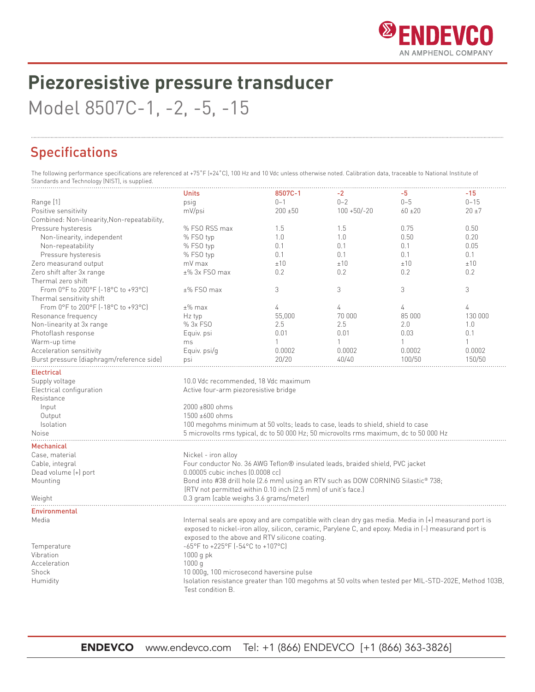

# **Piezoresistive pressure transducer**

Model 8507C-1, -2, -5, -15

### Specifications

The following performance specifications are referenced at +75˚F (+24˚C), 100 Hz and 10 Vdc unless otherwise noted. Calibration data, traceable to National Institute of Standards and Technology (NIST), is supplied.

|                                             | <b>Units</b>                                                                                          | 8507C-1      | -2             | -5           | $-15$        |  |
|---------------------------------------------|-------------------------------------------------------------------------------------------------------|--------------|----------------|--------------|--------------|--|
| Range [1]                                   | psig                                                                                                  | $0 - 1$      | $0 - 2$        | $0 - 5$      | $0 - 15$     |  |
| Positive sensitivity                        | mV/psi                                                                                                | $200 + 50$   | $100 + 50/-20$ | $60 + 20$    | $20 + 7$     |  |
| Combined: Non-linearity, Non-repeatability, |                                                                                                       |              |                |              |              |  |
| Pressure hysteresis                         | % FSO RSS max                                                                                         | 1.5          | 1.5            | 0.75         | 0.50         |  |
| Non-linearity, independent                  | % FSO typ                                                                                             | 1.0          | 1.0            | 0.50         | 0.20         |  |
| Non-repeatability                           | % FSO typ                                                                                             | 0.1          | 0.1            | 0.1          | 0.05         |  |
| Pressure hysteresis                         | % FSO typ                                                                                             | 0.1          | 0.1            | 0.1          | 0.1          |  |
| Zero measurand output                       | mV max                                                                                                | ±10          | ±10            | ±10          | ±10          |  |
| Zero shift after 3x range                   | $±\%$ 3x FSO max                                                                                      | 0.2          | 0.2            | 0.2          | 0.2          |  |
| Thermal zero shift                          |                                                                                                       |              |                |              |              |  |
| From 0°F to 200°F (-18°C to +93°C)          | $±\%$ FSO max                                                                                         | 3            | 3              | 3            | 3            |  |
| Thermal sensitivity shift                   |                                                                                                       |              |                |              |              |  |
| From 0°F to 200°F (-18°C to +93°C)          | $±\%$ max                                                                                             | 4            | 4              | 4            | 4            |  |
| Resonance frequency                         | Hz typ                                                                                                | 55,000       | 70 000         | 85 000       | 130 000      |  |
| Non-linearity at 3x range                   | % 3x FSO                                                                                              | 2.5          | 2.5            | 2.0          | 1.0          |  |
| Photoflash response                         | Equiv. psi                                                                                            | 0.01         | 0.01           | 0.03         | 0.1          |  |
| Warm-up time                                | ms                                                                                                    | $\mathbf{1}$ | $\mathbf{1}$   | $\mathbf{1}$ | $\mathbf{1}$ |  |
| Acceleration sensitivity                    | Equiv. psi/q                                                                                          | 0.0002       | 0.0002         | 0.0002       | 0.0002       |  |
| Burst pressure (diaphragm/reference side)   | psi                                                                                                   | 20/20        | 40/40          | 100/50       | 150/50       |  |
|                                             |                                                                                                       |              |                |              |              |  |
| <b>Electrical</b>                           |                                                                                                       |              |                |              |              |  |
| Supply voltage                              | 10.0 Vdc recommended, 18 Vdc maximum                                                                  |              |                |              |              |  |
| Electrical configuration                    | Active four-arm piezoresistive bridge                                                                 |              |                |              |              |  |
| Resistance                                  |                                                                                                       |              |                |              |              |  |
| Input                                       | 2000 ±800 ohms                                                                                        |              |                |              |              |  |
| Output                                      | 1500 ±600 ohms                                                                                        |              |                |              |              |  |
| Isolation                                   | 100 megohms minimum at 50 volts; leads to case, leads to shield, shield to case                       |              |                |              |              |  |
| Noise                                       | 5 microvolts rms typical, dc to 50 000 Hz; 50 microvolts rms maximum, dc to 50 000 Hz                 |              |                |              |              |  |
| Mechanical                                  |                                                                                                       |              |                |              |              |  |
| Case, material                              | Nickel - iron alloy                                                                                   |              |                |              |              |  |
| Cable, integral                             | Four conductor No. 36 AWG Teflon® insulated leads, braided shield, PVC jacket                         |              |                |              |              |  |
| Dead volume (+) port                        | 0.00005 cubic inches (0.0008 cc)                                                                      |              |                |              |              |  |
| Mounting                                    | Bond into #38 drill hole (2.6 mm) using an RTV such as DOW CORNING Silastic® 738;                     |              |                |              |              |  |
|                                             | (RTV not permitted within 0.10 inch (2.5 mm) of unit's face.)                                         |              |                |              |              |  |
|                                             |                                                                                                       |              |                |              |              |  |
| Weight                                      | 0.3 gram (cable weighs 3.6 grams/meter)                                                               |              |                |              |              |  |
| <b>Environmental</b>                        |                                                                                                       |              |                |              |              |  |
| Media                                       | Internal seals are epoxy and are compatible with clean dry gas media. Media in (+) measurand port is  |              |                |              |              |  |
|                                             | exposed to nickel-iron alloy, silicon, ceramic, Parylene C, and epoxy. Media in (-) measurand port is |              |                |              |              |  |
|                                             | exposed to the above and RTV silicone coating.                                                        |              |                |              |              |  |
| Temperature                                 | -65°F to +225°F (-54°C to +107°C)                                                                     |              |                |              |              |  |
| Vibration                                   | $1000q$ pk                                                                                            |              |                |              |              |  |
| Acceleration                                | 1000q                                                                                                 |              |                |              |              |  |
| Shock                                       | 10 000q, 100 microsecond haversine pulse                                                              |              |                |              |              |  |
| Humidity                                    | Isolation resistance greater than 100 megohms at 50 volts when tested per MIL-STD-202E, Method 103B,  |              |                |              |              |  |
|                                             | Test condition B.                                                                                     |              |                |              |              |  |
|                                             |                                                                                                       |              |                |              |              |  |